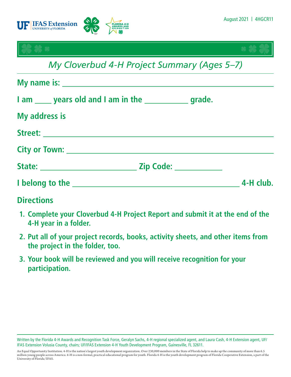

- **1. Complete your Cloverbud 4-H Project Report and submit it at the end of the 4-H year in a folder.**
- **2. Put all of your project records, books, activity sheets, and other items from the project in the folder, too.**
- **3. Your book will be reviewed and you will receive recognition for your participation.**

Written by the Florida 4-H Awards and Recognition Task Force, Geralyn Sachs, 4-H regional specialized agent, and Laura Cash, 4-H Extension agent, UF/ IFAS Extension Volusia County, chairs; UF/IFAS Extension 4-H Youth Development Program, Gainesville, FL 32611.

An Equal Opportunity Institution. 4-H is the nation's largest youth development organization. Over 230,000 members in the State of Florida help to make up the community of more than 6.5 million young people across America. 4-H is a non-formal, practical educational program for youth. Florida 4-H is the youth development program of Florida Cooperative Extension, a part of the University of Florida/IFAS.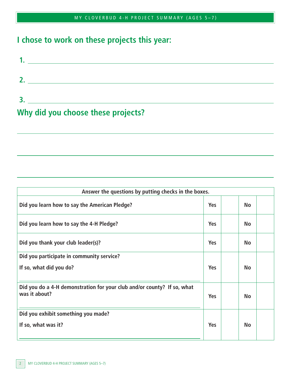# **I chose to work on these projects this year:**

| -2                                 |  |
|------------------------------------|--|
|                                    |  |
| Why did you choose these projects? |  |

| Answer the questions by putting checks in the boxes.                                     |            |           |  |
|------------------------------------------------------------------------------------------|------------|-----------|--|
| Did you learn how to say the American Pledge?                                            | <b>Yes</b> | <b>No</b> |  |
| Did you learn how to say the 4-H Pledge?                                                 | <b>Yes</b> | <b>No</b> |  |
| Did you thank your club leader(s)?                                                       | <b>Yes</b> | <b>No</b> |  |
| Did you participate in community service?                                                |            |           |  |
| If so, what did you do?                                                                  | <b>Yes</b> | <b>No</b> |  |
| Did you do a 4-H demonstration for your club and/or county? If so, what<br>was it about? | <b>Yes</b> | <b>No</b> |  |
| Did you exhibit something you made?                                                      |            |           |  |
| If so, what was it?                                                                      | <b>Yes</b> | <b>No</b> |  |

 $\overline{a}$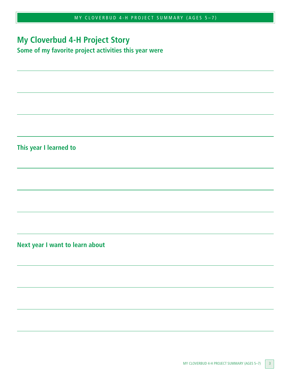## **My Cloverbud 4-H Project Story**

**Some of my favorite project activities this year were**

**This year I learned to**

 $\overline{a}$ 

 $\overline{a}$ 

 $\overline{\phantom{0}}$ 

**Next year I want to learn about**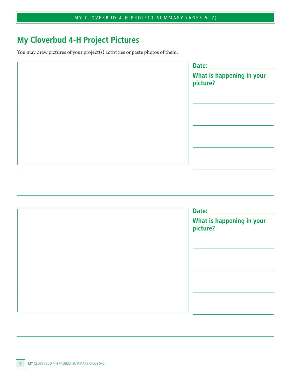# **My Cloverbud 4-H Project Pictures**

You may draw pictures of your project(s) activities or paste photos of them.

|        | Date:                                 |  |
|--------|---------------------------------------|--|
|        | What is happening in your<br>picture? |  |
|        |                                       |  |
|        |                                       |  |
|        |                                       |  |
|        |                                       |  |
| $\sim$ |                                       |  |

| Date: <u>New York: New York: New York: New York: New York: New York: New York: New York: New York: New York: New York: New York: New York: New York: New York: New York: New York: New York: New York: New York: New York: New Y</u><br>What is happening in your<br>picture? |
|-------------------------------------------------------------------------------------------------------------------------------------------------------------------------------------------------------------------------------------------------------------------------------|
|                                                                                                                                                                                                                                                                               |
|                                                                                                                                                                                                                                                                               |
|                                                                                                                                                                                                                                                                               |

 $\overline{\phantom{0}}$ 

 $\overline{a}$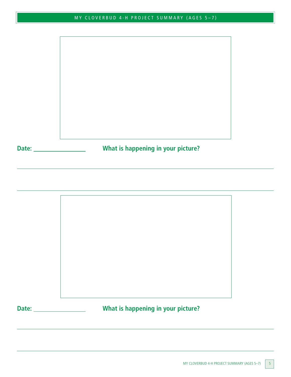

 $\overline{\phantom{0}}$ 

**Date: What is happening in your picture?**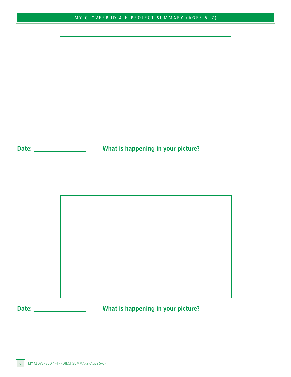

 $\overline{\phantom{0}}$ 

**Date: What is happening in your picture?**